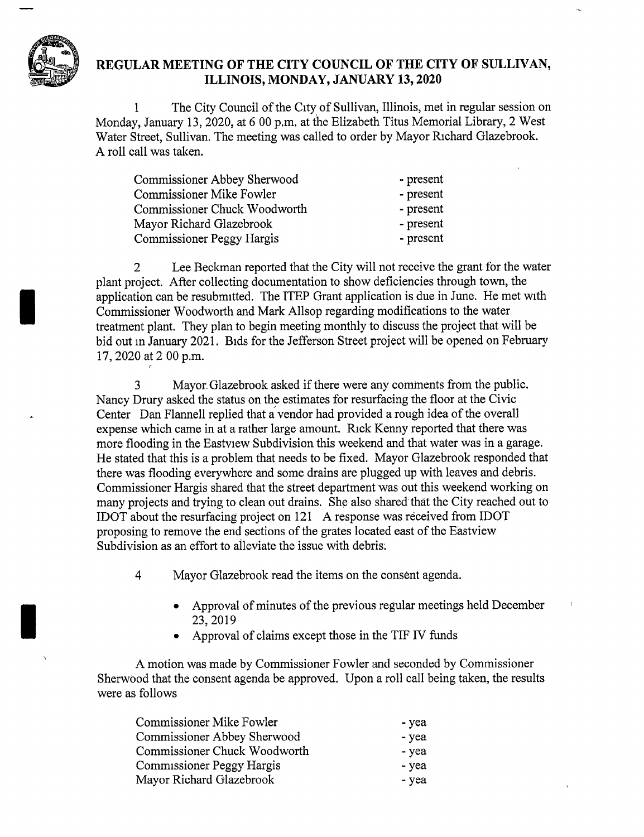

## REGULAR MEETING OF THE CITY COUNCIL OF THE CITY OF SULLIVAN, ILLINOIS, MONDAY, JANUARY 13, 2020

1 The City Council of the City of Sullivan, Illinois, met in regular session on Monday, January 13, 2020, at 6 00 p.m. at the Elizabeth Titus Memorial Library, 2 West Water Street, Sullivan. The meeting was called to order by Mayor Richard Glazebrook. A roll call was taken.

| Commissioner Abbey Sherwood  | - present |
|------------------------------|-----------|
| Commissioner Mike Fowler     | - present |
| Commissioner Chuck Woodworth | - present |
| Mayor Richard Glazebrook     | - present |
| Commissioner Peggy Hargis    | - present |

<sup>2</sup> Lee Beckman reported that the City will not receive the grant for the water plant project. After collecting documentation to show deficiencies through town, the application can be resubmitted. The ITEP Grant application is due in June. He met with Commissioner Woodworth and Mark Allsop regarding modifications to the water treatment plant. They plan to begin meeting monthly to discuss the project that will be bid out in January 2021. Bids for the Jefferson Street project will be opened on February 17, 2020 at 2 00 p.m.

<sup>3</sup> Mayor.Glazebrook asked if there were any comments from the public. Nancy Drury asked the status on the estimates for resurfacing the floor at the Civic Center Dan Flannell replied that a vendor had provided a rough idea of the overall expense which came in at a rather large amount. Rick Kenny reported that there was more flooding in the Eastview Subdivision this weekend and that water was in a garage. He stated that this is a problem that needs to be fixed. Mayor Glazebrook responded that there was flooding everywhere and some drains are plugged up with leaves and debris. Commissioner Hargis shared that the street department was out this weekend working on many projects and trying to clean out drains. She also shared that the City reached out to IDOT about the resurfacing project on <sup>121</sup> A response was received from IDOT proposing to remove the end sections of the grates located east of the Eastview Subdivision as an effort to alleviate the issue with debris.

4 Mayor Glazebrook read the items on the consent agenda.

- Approval of minutes of the previous regular meetings held December 23, 2019
- Approval of claims except those in the TIF IV funds

A motion was made by Commissioner Fowler and seconded by Commissioner Sherwood that the consent agenda be approved. Upon a roll call being taken, the results were as follows

| Commissioner Mike Fowler     | - yea |
|------------------------------|-------|
| Commissioner Abbey Sherwood  | - yea |
| Commissioner Chuck Woodworth | - yea |
| Commissioner Peggy Hargis    | - yea |
| Mayor Richard Glazebrook     | - yea |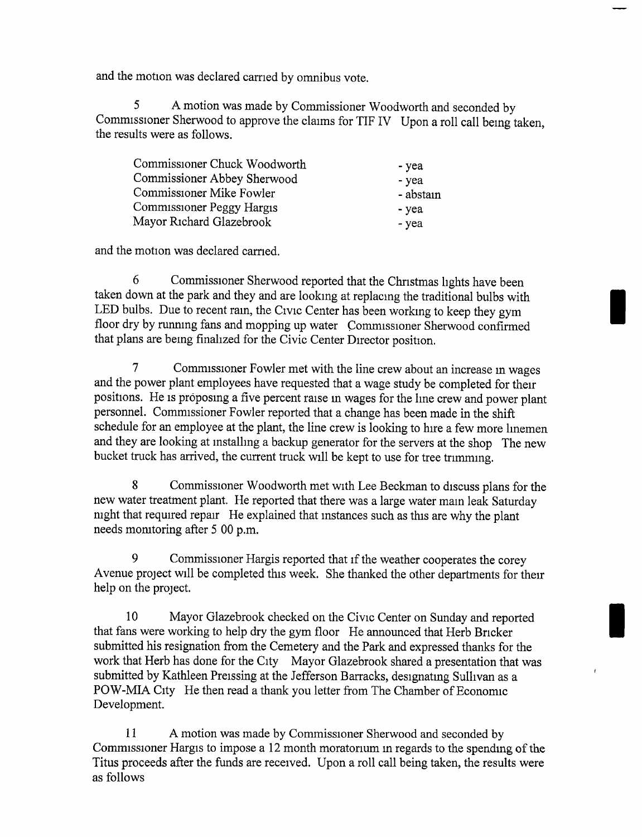and the motion was declared carried by omnibus vote.

<sup>5</sup> A motion was made by Commissioner Woodworth and seconded by Commissioner Sherwood to approve the claims for TIF IV Upon a roll call being taken, the results were as follows.

| Commissioner Chuck Woodworth | - yea     |
|------------------------------|-----------|
| Commissioner Abbey Sherwood  | - yea     |
| Commissioner Mike Fowler     | - abstain |
| Commissioner Peggy Hargis    | - yea     |
| Mayor Richard Glazebrook     | - yea     |

and the motion was declared carried.

6 Commissioner Sherwood reported that the Christmas lights have been taken down at the park and they and are looking at replacing the traditional bulbs with LED bulbs. Due to recent rain, the Civic Center has been working to keep they gym floor dry by running fans and mopping up water Commissioner Sherwood confirmed that plans are being finalized for the Civic Center Director position.

7 Commissioner Fowler met with the line crew about an increase in wages and the power plant employees have requested that a wage study be completed for their positions. He is proposing a five percent raise m wages for the line crew and power plant personnel. Commissioner Fowler reported that a change has been made in the shift schedule for an employee at the plant, the line crew is looking to hire a few more linemen and they are looking at installing a backup generator for the servers at the shop The new bucket truck has arrived, the current truck will be kept to use for tree trimming.

<sup>8</sup> Commissioner Woodworth met with Lee Beckman to discuss plans for the new water treatment plant. He reported that there was a large water main leak Saturday night that required repair He explained that instances such as this are why the plant needs monitoring after <sup>5</sup> 00 p.m.

9 Commissioner Hargis reported that if the weather cooperates the corey Avenue project will be completed this week. She thanked the other departments for their help on the project.

<sup>10</sup> Mayor Glazebrook checked on the Civic Center on Sunday and reported that fans were working to help dry the gym floor He announced that Herb Bricker submitted his resignation from the Cemetery and the Park and expressed thanks for the work that Herb has done for the City Mayor Glazebrook shared <sup>a</sup> presentation that was submitted by Kathleen Preissing at the Jefferson Barracks, designating Sullivan as a POW-MIA City He then read a thank you letter from The Chamber of Economic Development.

<sup>11</sup> A motion was made by Commissioner Sherwood and seconded by Commissioner Hargis to impose <sup>a</sup> <sup>12</sup> month moratorium in regards to the spending of the Titus proceeds after the funds are received. Upon a roll call being taken, the results were as follows